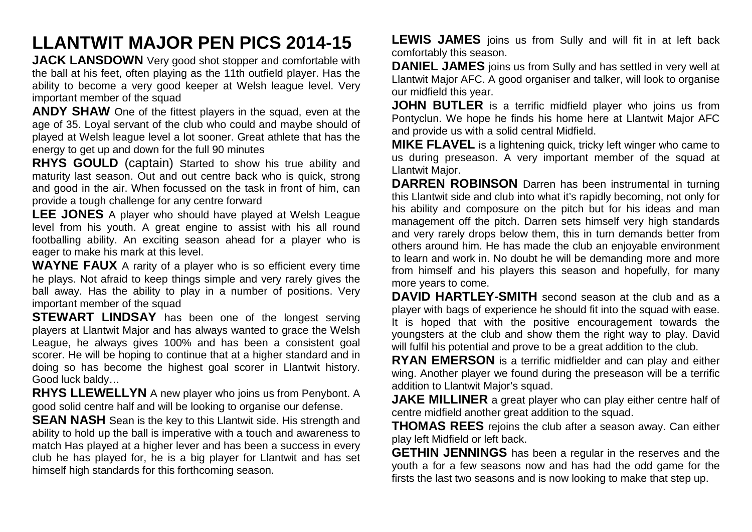## **LLANTWIT MAJOR PEN PICS 2014-15**

**JACK LANSDOWN** Very good shot stopper and comfortable with the ball at his feet, often playing as the 11th outfield player. Has the ability to become a very good keeper at Welsh league level. Very important member of the squad

**ANDY SHAW** One of the fittest players in the squad, even at the age of 35. Loyal servant of the club who could and maybe should of played at Welsh league level a lot sooner. Great athlete that has the energy to get up and down for the full 90 minutes

**RHYS GOULD** (captain) Started to show his true ability and maturity last season. Out and out centre back who is quick, strong and good in the air. When focussed on the task in front of him, can provide a tough challenge for any centre forward

**LEE JONES** A player who should have played at Welsh League level from his youth. A great engine to assist with his all round footballing ability. An exciting season ahead for a player who is eager to make his mark at this level.

**WAYNE FAUX** A rarity of a player who is so efficient every time he plays. Not afraid to keep things simple and very rarely gives the ball away. Has the ability to play in a number of positions. Very important member of the squad

**STEWART LINDSAY** has been one of the longest serving players at Llantwit Major and has always wanted to grace the Welsh League, he always gives 100% and has been a consistent goal scorer. He will be hoping to continue that at a higher standard and in doing so has become the highest goal scorer in Llantwit history. Good luck baldy…

**RHYS LLEWELLYN** A new player who joins us from Penybont. A good solid centre half and will be looking to organise our defense.

**SEAN NASH** Sean is the key to this Llantwit side. His strength and ability to hold up the ball is imperative with a touch and awareness to match Has played at a higher lever and has been a success in every club he has played for, he is a big player for Llantwit and has set himself high standards for this forthcoming season.

**LEWIS JAMES** joins us from Sully and will fit in at left back comfortably this season.

**DANIEL JAMES** joins us from Sully and has settled in very well at Llantwit Major AFC. A good organiser and talker, will look to organise our midfield this year.

**JOHN BUTLER** is a terrific midfield player who joins us from Pontyclun. We hope he finds his home here at Llantwit Major AFC and provide us with a solid central Midfield.

**MIKE FLAVEL** is a lightening quick, tricky left winger who came to us during preseason. A very important member of the squad at Llantwit Major.

**DARREN ROBINSON** Darren has been instrumental in turning this Llantwit side and club into what it's rapidly becoming, not only for his ability and composure on the pitch but for his ideas and man management off the pitch. Darren sets himself very high standards and very rarely drops below them, this in turn demands better from others around him. He has made the club an enjoyable environment to learn and work in. No doubt he will be demanding more and more from himself and his players this season and hopefully, for many more years to come.

**DAVID HARTLEY-SMITH** second season at the club and as a player with bags of experience he should fit into the squad with ease. It is hoped that with the positive encouragement towards the youngsters at the club and show them the right way to play. David will fulfil his potential and prove to be a great addition to the club.

**RYAN EMERSON** is a terrific midfielder and can play and either wing. Another player we found during the preseason will be a terrific addition to Llantwit Major's squad.

**JAKE MILLINER** a great player who can play either centre half of centre midfield another great addition to the squad.

**THOMAS REES** rejoins the club after a season away. Can either play left Midfield or left back.

**GETHIN JENNINGS** has been a regular in the reserves and the youth a for a few seasons now and has had the odd game for the firsts the last two seasons and is now looking to make that step up.